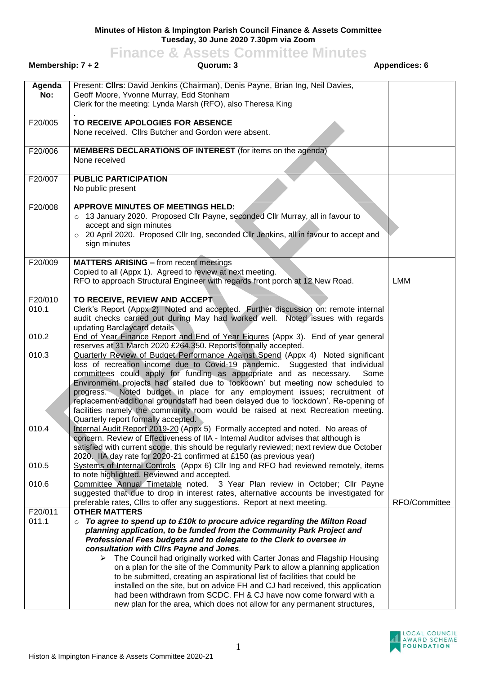## **Minutes of Histon & Impington Parish Council Finance & Assets Committee Tuesday, 30 June 2020 7.30pm via Zoom**

## **Finance & Assets Committee Minutes**

|                  | Membership: $7 + 2$<br>Quorum: 3                                                                                                                                                                                                                                                                                                                                                                                                                                                                                                                                  |                                                                                                                                                          | <b>Appendices: 6</b> |
|------------------|-------------------------------------------------------------------------------------------------------------------------------------------------------------------------------------------------------------------------------------------------------------------------------------------------------------------------------------------------------------------------------------------------------------------------------------------------------------------------------------------------------------------------------------------------------------------|----------------------------------------------------------------------------------------------------------------------------------------------------------|----------------------|
| Agenda<br>No:    | Present: Clirs: David Jenkins (Chairman), Denis Payne, Brian Ing, Neil Davies,<br>Geoff Moore, Yvonne Murray, Edd Stonham<br>Clerk for the meeting: Lynda Marsh (RFO), also Theresa King                                                                                                                                                                                                                                                                                                                                                                          |                                                                                                                                                          |                      |
| F20/005          | TO RECEIVE APOLOGIES FOR ABSENCE<br>None received. Cllrs Butcher and Gordon were absent.                                                                                                                                                                                                                                                                                                                                                                                                                                                                          |                                                                                                                                                          |                      |
| F20/006          | <b>MEMBERS DECLARATIONS OF INTEREST</b> (for items on the agenda)<br>None received                                                                                                                                                                                                                                                                                                                                                                                                                                                                                |                                                                                                                                                          |                      |
| F20/007          | <b>PUBLIC PARTICIPATION</b><br>No public present                                                                                                                                                                                                                                                                                                                                                                                                                                                                                                                  |                                                                                                                                                          |                      |
| F20/008          | <b>APPROVE MINUTES OF MEETINGS HELD:</b><br>13 January 2020. Proposed Cllr Payne, seconded Cllr Murray, all in favour to<br>accept and sign minutes<br>o 20 April 2020. Proposed Cllr Ing, seconded Cllr Jenkins, all in favour to accept and<br>sign minutes                                                                                                                                                                                                                                                                                                     |                                                                                                                                                          |                      |
| F20/009          | <b>MATTERS ARISING - from recent meetings</b><br>Copied to all (Appx 1). Agreed to review at next meeting.<br>RFO to approach Structural Engineer with regards front porch at 12 New Road.                                                                                                                                                                                                                                                                                                                                                                        |                                                                                                                                                          | <b>LMM</b>           |
| F20/010<br>010.1 | TO RECEIVE, REVIEW AND ACCEPT.<br>Clerk's Report (Appx 2) Noted and accepted. Further discussion on: remote internal<br>audit checks carried out during May had worked well. Noted issues with regards<br>updating Barclaycard details                                                                                                                                                                                                                                                                                                                            |                                                                                                                                                          |                      |
| 010.2            | End of Year Finance Report and End of Year Figures (Appx 3). End of year general<br>reserves at 31 March 2020 £264,350. Reports formally accepted.                                                                                                                                                                                                                                                                                                                                                                                                                |                                                                                                                                                          |                      |
| 010.3            | <b>Quarterly Review of Budget Performance Against Spend (Appx 4) Noted significant</b><br>loss of recreation income due to Covid-19 pandemic. Suggested that individual<br>committees could apply for funding as appropriate and as necessary.<br>Environment projects had stalled due to 'lockdown' but meeting now scheduled to<br>progress.<br>replacement/additional groundstaff had been delayed due to 'lockdown'. Re-opening of<br>facilities namely the community room would be raised at next Recreation meeting.<br>Quarterly report formally accepted. | Some<br>Noted budget in place for any employment issues; recruitment of                                                                                  |                      |
| 010.4            | Internal Audit Report 2019-20 (Appx 5) Formally accepted and noted. No areas of<br>concern. Review of Effectiveness of IIA - Internal Auditor advises that although is<br>satisfied with current scope, this should be regularly reviewed; next review due October<br>2020. IIA day rate for 2020-21 confirmed at £150 (as previous year)                                                                                                                                                                                                                         |                                                                                                                                                          |                      |
| 010.5            | Systems of Internal Controls (Appx 6) Cllr Ing and RFO had reviewed remotely, items<br>to note highlighted. Reviewed and accepted.                                                                                                                                                                                                                                                                                                                                                                                                                                |                                                                                                                                                          |                      |
| 010.6            | Committee Annual Timetable noted. 3 Year Plan review in October; Cllr Payne<br>suggested that due to drop in interest rates, alternative accounts be investigated for<br>preferable rates, Cllrs to offer any suggestions. Report at next meeting.                                                                                                                                                                                                                                                                                                                |                                                                                                                                                          | RFO/Committee        |
| F20/011          | <b>OTHER MATTERS</b>                                                                                                                                                                                                                                                                                                                                                                                                                                                                                                                                              |                                                                                                                                                          |                      |
| 011.1            | To agree to spend up to £10k to procure advice regarding the Milton Road                                                                                                                                                                                                                                                                                                                                                                                                                                                                                          |                                                                                                                                                          |                      |
|                  | planning application, to be funded from the Community Park Project and                                                                                                                                                                                                                                                                                                                                                                                                                                                                                            |                                                                                                                                                          |                      |
|                  | Professional Fees budgets and to delegate to the Clerk to oversee in                                                                                                                                                                                                                                                                                                                                                                                                                                                                                              |                                                                                                                                                          |                      |
|                  | consultation with Cllrs Payne and Jones.                                                                                                                                                                                                                                                                                                                                                                                                                                                                                                                          |                                                                                                                                                          |                      |
|                  | ➤                                                                                                                                                                                                                                                                                                                                                                                                                                                                                                                                                                 | The Council had originally worked with Carter Jonas and Flagship Housing<br>on a plan for the site of the Community Park to allow a planning application |                      |
|                  | to be submitted, creating an aspirational list of facilities that could be                                                                                                                                                                                                                                                                                                                                                                                                                                                                                        |                                                                                                                                                          |                      |
|                  |                                                                                                                                                                                                                                                                                                                                                                                                                                                                                                                                                                   | installed on the site, but on advice FH and CJ had received, this application                                                                            |                      |
|                  |                                                                                                                                                                                                                                                                                                                                                                                                                                                                                                                                                                   | had been withdrawn from SCDC. FH & CJ have now come forward with a                                                                                       |                      |
|                  |                                                                                                                                                                                                                                                                                                                                                                                                                                                                                                                                                                   | new plan for the area, which does not allow for any permanent structures,                                                                                |                      |